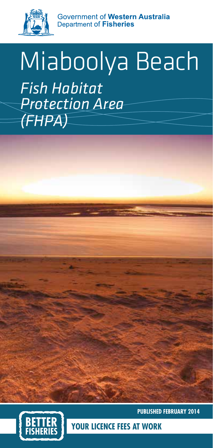

Government of Western Australia Department of **Fisheries** 

# Miaboolya Beach *Fish Habitat Protection Area (FHPA)*



**PUBLISHED FEBRUARY 2014**

**ICENCE FEES AT WORK**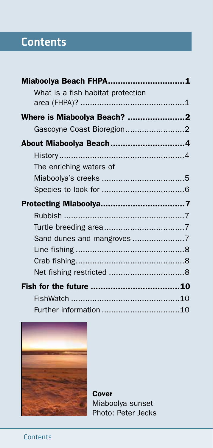# **Contents**

| Miaboolya Beach FHPA1             |  |
|-----------------------------------|--|
| What is a fish habitat protection |  |
| Where is Miaboolya Beach? 2       |  |
| Gascoyne Coast Bioregion2         |  |
| About Miaboolya Beach4            |  |
|                                   |  |
| The enriching waters of           |  |
|                                   |  |
|                                   |  |
|                                   |  |
|                                   |  |
|                                   |  |
| Sand dunes and mangroves 7        |  |
|                                   |  |
|                                   |  |
|                                   |  |
|                                   |  |
|                                   |  |
|                                   |  |



**Cover** Miaboolya sunset Photo: Peter Jecks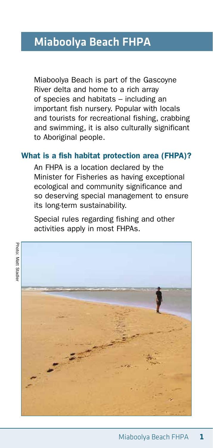# Miaboolya Beach FHPA

Miaboolya Beach is part of the Gascoyne River delta and home to a rich array of species and habitats – including an important fish nursery. Popular with locals and tourists for recreational fishing, crabbing and swimming, it is also culturally significant to Aboriginal people.

#### What is a fish habitat protection area (FHPA)?

An FHPA is a location declared by the Minister for Fisheries as having exceptional ecological and community significance and so deserving special management to ensure its long-term sustainability.

Special rules regarding fishing and other activities apply in most FHPAs.



Photo: Matt Stadle Photo: Matt Stadler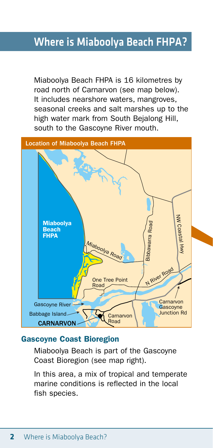### Where is Miaboolya Beach FHPA?

Miaboolya Beach FHPA is 16 kilometres by road north of Carnarvon (see map below). It includes nearshore waters, mangroves, seasonal creeks and salt marshes up to the high water mark from South Bejalong Hill. south to the Gascoyne River mouth.



#### Gascoyne Coast Bioregion

Miaboolya Beach is part of the Gascoyne Coast Bioregion (see map right).

In this area, a mix of tropical and temperate marine conditions is reflected in the local fish species.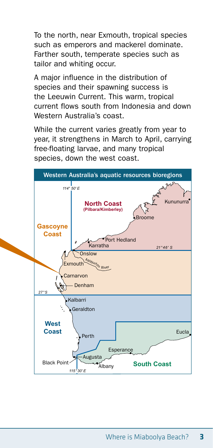To the north, near Exmouth, tropical species such as emperors and mackerel dominate. Farther south, temperate species such as tailor and whiting occur.

A major influence in the distribution of species and their spawning success is the Leeuwin Current. This warm, tropical current flows south from Indonesia and down Western Australia's coast.

While the current varies greatly from year to year, it strengthens in March to April, carrying free-floating larvae, and many tropical species, down the west coast.

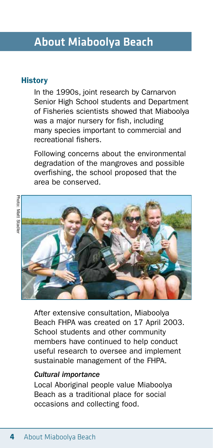## About Miaboolya Beach

#### **History**

In the 1990s, joint research by Carnarvon Senior High School students and Department of Fisheries scientists showed that Miaboolya was a major nursery for fish, including many species important to commercial and recreational fishers.

Following concerns about the environmental degradation of the mangroves and possible overfishing, the school proposed that the area be conserved.



After extensive consultation, Miaboolya Beach FHPA was created on 17 April 2003. School students and other community members have continued to help conduct useful research to oversee and implement sustainable management of the FHPA.

#### *Cultural importance*

Local Aboriginal people value Miaboolya Beach as a traditional place for social occasions and collecting food.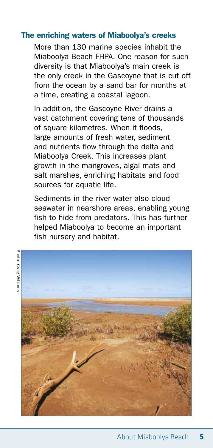#### The enriching waters of Miaboolya's creeks

More than 130 marine species inhabit the Miaboolya Beach FHPA. One reason for such diversity is that Miaboolya's main creek is the only creek in the Gascoyne that is cut off from the ocean by a sand bar for months at a time, creating a coastal lagoon.

In addition, the Gascoyne River drains a vast catchment covering tens of thousands of square kilometres. When it floods, large amounts of fresh water, sediment and nutrients flow through the delta and Miaboolya Creek. This increases plant growth in the mangroves, algal mats and salt marshes, enriching habitats and food sources for aquatic life.

Sediments in the river water also cloud seawater in nearshore areas, enabling young fish to hide from predators. This has further helped Miaboolya to become an important fish nursery and habitat.

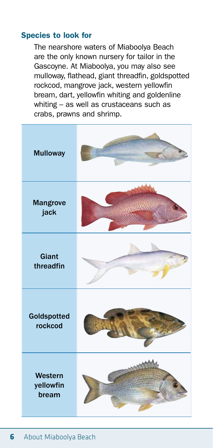#### Species to look for

The nearshore waters of Miaboolya Beach are the only known nursery for tailor in the Gascoyne. At Miaboolya, you may also see mulloway, flathead, giant threadfin, goldspotted rockcod, mangrove jack, western yellowfin bream, dart, yellowfin whiting and goldenline whiting – as well as crustaceans such as crabs, prawns and shrimp.

| <b>Mulloway</b>               |  |
|-------------------------------|--|
| <b>Mangrove</b><br>jack       |  |
| <b>Giant</b><br>threadfin     |  |
| Goldspotted<br>rockcod        |  |
| Western<br>yellowfin<br>bream |  |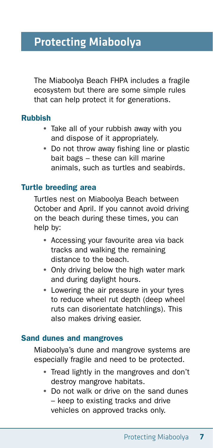# Protecting Miaboolya

The Miaboolya Beach FHPA includes a fragile ecosystem but there are some simple rules that can help protect it for generations.

#### Rubbish

- Take all of your rubbish away with you and dispose of it appropriately.
- Do not throw away fishing line or plastic bait bags – these can kill marine animals, such as turtles and seabirds.

#### Turtle breeding area

Turtles nest on Miaboolya Beach between October and April. If you cannot avoid driving on the beach during these times, you can help by:

- Accessing your favourite area via back tracks and walking the remaining distance to the beach.
- Only driving below the high water mark and during daylight hours.
- Lowering the air pressure in your tyres to reduce wheel rut depth (deep wheel ruts can disorientate hatchlings). This also makes driving easier.

#### Sand dunes and mangroves

Miaboolya's dune and mangrove systems are especially fragile and need to be protected.

- Tread lightly in the mangroves and don't destroy mangrove habitats.
- Do not walk or drive on the sand dunes – keep to existing tracks and drive vehicles on approved tracks only.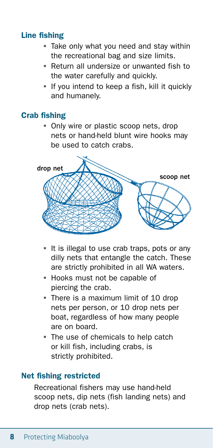#### Line fishing

- Take only what you need and stay within the recreational bag and size limits.
- Return all undersize or unwanted fish to the water carefully and quickly.
- If you intend to keep a fish, kill it quickly and humanely.

#### Crab fishing

• Only wire or plastic scoop nets, drop nets or hand-held blunt wire hooks may be used to catch crabs.



- It is illegal to use crab traps, pots or any dilly nets that entangle the catch. These are strictly prohibited in all WA waters.
- Hooks must not be capable of piercing the crab.
- There is a maximum limit of 10 drop nets per person, or 10 drop nets per boat, regardless of how many people are on board.
- The use of chemicals to help catch or kill fish, including crabs, is strictly prohibited.

#### Net fishing restricted

Recreational fishers may use hand-held scoop nets, dip nets (fish landing nets) and drop nets (crab nets).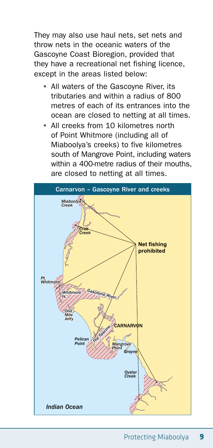They may also use haul nets, set nets and throw nets in the oceanic waters of the Gascoyne Coast Bioregion, provided that they have a recreational net fishing licence, except in the areas listed below:

- All waters of the Gascoyne River, its tributaries and within a radius of 800 metres of each of its entrances into the ocean are closed to netting at all times.
- All creeks from 10 kilometres north of Point Whitmore (including all of Miaboolya's creeks) to five kilometres south of Mangrove Point, including waters within a 400-metre radius of their mouths. are closed to netting at all times.